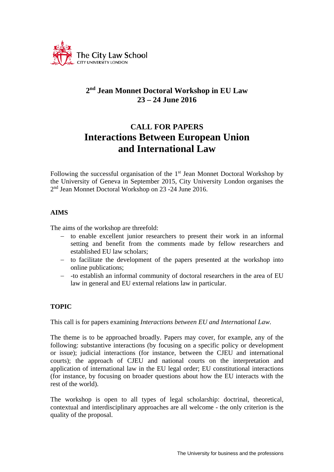

## **2nd Jean Monnet Doctoral Workshop in EU Law 23 – 24 June 2016**

# **CALL FOR PAPERS Interactions Between European Union and International Law**

Following the successful organisation of the 1<sup>st</sup> Jean Monnet Doctoral Workshop by the University of Geneva in September 2015, City University London organises the 2nd Jean Monnet Doctoral Workshop on 23 -24 June 2016.

## **AIMS**

The aims of the workshop are threefold:

- to enable excellent junior researchers to present their work in an informal setting and benefit from the comments made by fellow researchers and established EU law scholars;
- to facilitate the development of the papers presented at the workshop into online publications;
- -to establish an informal community of doctoral researchers in the area of EU law in general and EU external relations law in particular.

## **TOPIC**

This call is for papers examining *Interactions between EU and International Law*.

The theme is to be approached broadly. Papers may cover, for example, any of the following: substantive interactions (by focusing on a specific policy or development or issue); judicial interactions (for instance, between the CJEU and international courts); the approach of CJEU and national courts on the interpretation and application of international law in the EU legal order; EU constitutional interactions (for instance, by focusing on broader questions about how the EU interacts with the rest of the world).

The workshop is open to all types of legal scholarship: doctrinal, theoretical, contextual and interdisciplinary approaches are all welcome - the only criterion is the quality of the proposal.